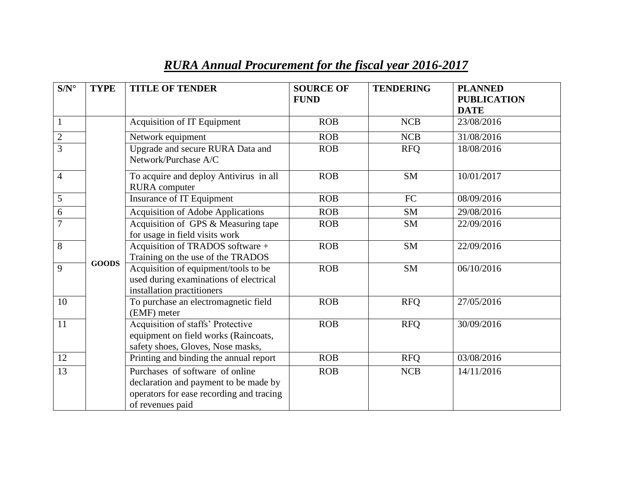| $S/N^{\circ}$  | <b>TYPE</b>  | <b>TITLE OF TENDER</b>                                                                                                                   | <b>SOURCE OF</b><br><b>FUND</b> | <b>TENDERING</b> | <b>PLANNED</b><br><b>PUBLICATION</b><br><b>DATE</b> |
|----------------|--------------|------------------------------------------------------------------------------------------------------------------------------------------|---------------------------------|------------------|-----------------------------------------------------|
| $\mathbf{1}$   |              | Acquisition of IT Equipment                                                                                                              | <b>ROB</b>                      | <b>NCB</b>       | 23/08/2016                                          |
| $\overline{c}$ |              | Network equipment                                                                                                                        | <b>ROB</b>                      | <b>NCB</b>       | 31/08/2016                                          |
| $\overline{3}$ |              | Upgrade and secure RURA Data and<br>Network/Purchase A/C                                                                                 | <b>ROB</b>                      | <b>RFQ</b>       | 18/08/2016                                          |
| $\overline{4}$ |              | To acquire and deploy Antivirus in all<br><b>RURA</b> computer                                                                           | <b>ROB</b>                      | <b>SM</b>        | 10/01/2017                                          |
| $\overline{5}$ |              | <b>Insurance of IT Equipment</b>                                                                                                         | <b>ROB</b>                      | <b>FC</b>        | 08/09/2016                                          |
| $\sqrt{6}$     |              | <b>Acquisition of Adobe Applications</b>                                                                                                 | ROB                             | <b>SM</b>        | 29/08/2016                                          |
| $\overline{7}$ | <b>GOODS</b> | Acquisition of GPS & Measuring tape<br>for usage in field visits work                                                                    | <b>ROB</b>                      | <b>SM</b>        | 22/09/2016                                          |
| 8              |              | Acquisition of TRADOS software +<br>Training on the use of the TRADOS                                                                    | <b>ROB</b>                      | <b>SM</b>        | 22/09/2016                                          |
| 9              |              | Acquisition of equipment/tools to be<br>used during examinations of electrical<br>installation practitioners                             | <b>ROB</b>                      | <b>SM</b>        | 06/10/2016                                          |
| 10             |              | To purchase an electromagnetic field<br>(EMF) meter                                                                                      | <b>ROB</b>                      | <b>RFQ</b>       | 27/05/2016                                          |
| 11             |              | Acquisition of staffs' Protective<br>equipment on field works (Raincoats,<br>safety shoes, Gloves, Nose masks,                           | <b>ROB</b>                      | <b>RFQ</b>       | 30/09/2016                                          |
| 12             |              | Printing and binding the annual report                                                                                                   | <b>ROB</b>                      | <b>RFQ</b>       | 03/08/2016                                          |
| 13             |              | Purchases of software of online<br>declaration and payment to be made by<br>operators for ease recording and tracing<br>of revenues paid | <b>ROB</b>                      | <b>NCB</b>       | 14/11/2016                                          |

## *RURA Annual Procurement for the fiscal year 2016-2017*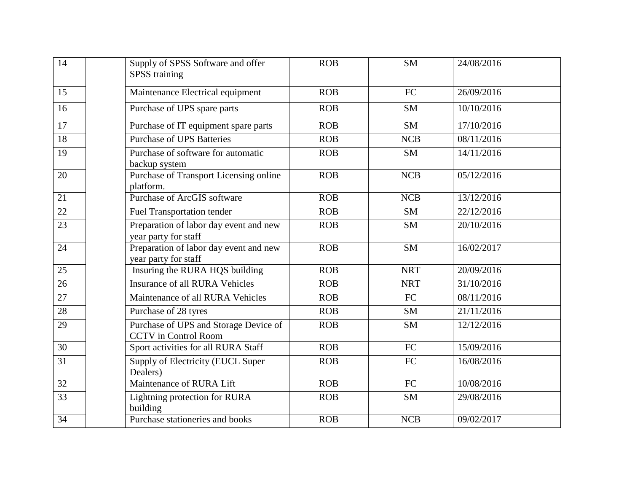| 14              | Supply of SPSS Software and offer<br><b>SPSS</b> training            | <b>ROB</b> | <b>SM</b>  | 24/08/2016 |
|-----------------|----------------------------------------------------------------------|------------|------------|------------|
| 15              | Maintenance Electrical equipment                                     | <b>ROB</b> | <b>FC</b>  | 26/09/2016 |
| 16              | Purchase of UPS spare parts                                          | <b>ROB</b> | <b>SM</b>  | 10/10/2016 |
| $\overline{17}$ | Purchase of IT equipment spare parts                                 | <b>ROB</b> | <b>SM</b>  | 17/10/2016 |
| 18              | <b>Purchase of UPS Batteries</b>                                     | <b>ROB</b> | <b>NCB</b> | 08/11/2016 |
| 19              | Purchase of software for automatic<br>backup system                  | <b>ROB</b> | <b>SM</b>  | 14/11/2016 |
| 20              | Purchase of Transport Licensing online<br>platform.                  | <b>ROB</b> | <b>NCB</b> | 05/12/2016 |
| 21              | <b>Purchase of ArcGIS software</b>                                   | <b>ROB</b> | <b>NCB</b> | 13/12/2016 |
| $\overline{22}$ | <b>Fuel Transportation tender</b>                                    | <b>ROB</b> | <b>SM</b>  | 22/12/2016 |
| $\overline{23}$ | Preparation of labor day event and new<br>year party for staff       | <b>ROB</b> | <b>SM</b>  | 20/10/2016 |
| 24              | Preparation of labor day event and new<br>year party for staff       | <b>ROB</b> | <b>SM</b>  | 16/02/2017 |
| 25              | Insuring the RURA HQS building                                       | <b>ROB</b> | <b>NRT</b> | 20/09/2016 |
| 26              | <b>Insurance of all RURA Vehicles</b>                                | <b>ROB</b> | <b>NRT</b> | 31/10/2016 |
| $\overline{27}$ | Maintenance of all RURA Vehicles                                     | <b>ROB</b> | FC         | 08/11/2016 |
| 28              | Purchase of 28 tyres                                                 | <b>ROB</b> | <b>SM</b>  | 21/11/2016 |
| 29              | Purchase of UPS and Storage Device of<br><b>CCTV</b> in Control Room | <b>ROB</b> | <b>SM</b>  | 12/12/2016 |
| 30              | Sport activities for all RURA Staff                                  | <b>ROB</b> | <b>FC</b>  | 15/09/2016 |
| 31              | Supply of Electricity (EUCL Super<br>Dealers)                        | <b>ROB</b> | <b>FC</b>  | 16/08/2016 |
| $\overline{32}$ | Maintenance of RURA Lift                                             | ROB        | <b>FC</b>  | 10/08/2016 |
| 33              | Lightning protection for RURA<br>building                            | <b>ROB</b> | <b>SM</b>  | 29/08/2016 |
| 34              | Purchase stationeries and books                                      | <b>ROB</b> | <b>NCB</b> | 09/02/2017 |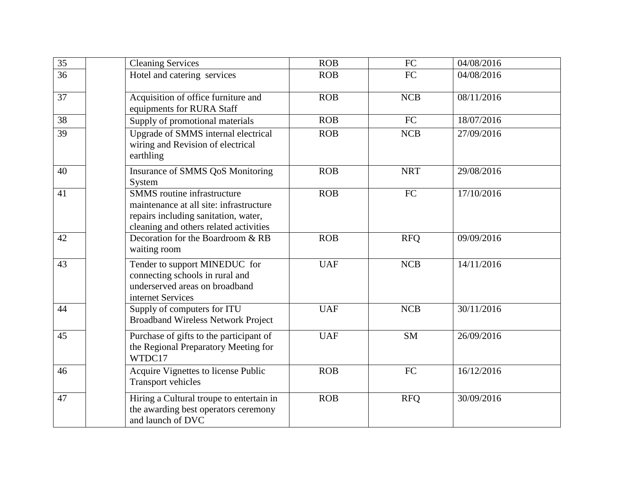| $\overline{35}$ | <b>Cleaning Services</b>                                                                                                                                        | <b>ROB</b> | FC         | 04/08/2016 |
|-----------------|-----------------------------------------------------------------------------------------------------------------------------------------------------------------|------------|------------|------------|
| 36              | Hotel and catering services                                                                                                                                     | <b>ROB</b> | FC         | 04/08/2016 |
| 37              | Acquisition of office furniture and<br>equipments for RURA Staff                                                                                                | <b>ROB</b> | <b>NCB</b> | 08/11/2016 |
| 38              | Supply of promotional materials                                                                                                                                 | <b>ROB</b> | ${\rm FC}$ | 18/07/2016 |
| 39              | Upgrade of SMMS internal electrical<br>wiring and Revision of electrical<br>earthling                                                                           | <b>ROB</b> | <b>NCB</b> | 27/09/2016 |
| 40              | Insurance of SMMS QoS Monitoring<br>System                                                                                                                      | <b>ROB</b> | <b>NRT</b> | 29/08/2016 |
| $\overline{41}$ | <b>SMMS</b> routine infrastructure<br>maintenance at all site: infrastructure<br>repairs including sanitation, water,<br>cleaning and others related activities | ROB        | FC         | 17/10/2016 |
| 42              | Decoration for the Boardroom & RB<br>waiting room                                                                                                               | <b>ROB</b> | <b>RFQ</b> | 09/09/2016 |
| 43              | Tender to support MINEDUC for<br>connecting schools in rural and<br>underserved areas on broadband<br>internet Services                                         | <b>UAF</b> | <b>NCB</b> | 14/11/2016 |
| 44              | Supply of computers for ITU<br><b>Broadband Wireless Network Project</b>                                                                                        | <b>UAF</b> | <b>NCB</b> | 30/11/2016 |
| 45              | Purchase of gifts to the participant of<br>the Regional Preparatory Meeting for<br>WTDC17                                                                       | <b>UAF</b> | <b>SM</b>  | 26/09/2016 |
| 46              | Acquire Vignettes to license Public<br><b>Transport vehicles</b>                                                                                                | <b>ROB</b> | FC         | 16/12/2016 |
| 47              | Hiring a Cultural troupe to entertain in<br>the awarding best operators ceremony<br>and launch of DVC                                                           | <b>ROB</b> | <b>RFQ</b> | 30/09/2016 |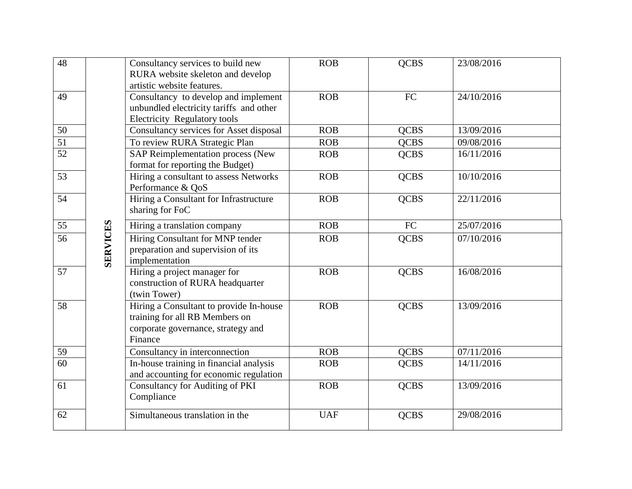| 48              |                 | Consultancy services to build new<br>RURA website skeleton and develop<br>artistic website features.                       | <b>ROB</b> | <b>QCBS</b> | 23/08/2016 |
|-----------------|-----------------|----------------------------------------------------------------------------------------------------------------------------|------------|-------------|------------|
| 49              |                 | Consultancy to develop and implement<br>unbundled electricity tariffs and other<br>Electricity Regulatory tools            | <b>ROB</b> | <b>FC</b>   | 24/10/2016 |
| 50              |                 | Consultancy services for Asset disposal                                                                                    | <b>ROB</b> | <b>QCBS</b> | 13/09/2016 |
| $\overline{51}$ |                 | To review RURA Strategic Plan                                                                                              | <b>ROB</b> | <b>QCBS</b> | 09/08/2016 |
| 52              |                 | SAP Reimplementation process (New<br>format for reporting the Budget)                                                      | <b>ROB</b> | <b>QCBS</b> | 16/11/2016 |
| 53              |                 | Hiring a consultant to assess Networks<br>Performance & QoS                                                                | <b>ROB</b> | <b>QCBS</b> | 10/10/2016 |
| 54              |                 | Hiring a Consultant for Infrastructure<br>sharing for FoC                                                                  | <b>ROB</b> | <b>QCBS</b> | 22/11/2016 |
| 55              |                 | Hiring a translation company                                                                                               | <b>ROB</b> | FC          | 25/07/2016 |
| 56              | <b>SERVICES</b> | Hiring Consultant for MNP tender<br>preparation and supervision of its<br>implementation                                   | <b>ROB</b> | <b>QCBS</b> | 07/10/2016 |
| $\overline{57}$ |                 | Hiring a project manager for<br>construction of RURA headquarter<br>(twin Tower)                                           | <b>ROB</b> | <b>QCBS</b> | 16/08/2016 |
| 58              |                 | Hiring a Consultant to provide In-house<br>training for all RB Members on<br>corporate governance, strategy and<br>Finance | <b>ROB</b> | <b>QCBS</b> | 13/09/2016 |
| 59              |                 | Consultancy in interconnection                                                                                             | <b>ROB</b> | <b>QCBS</b> | 07/11/2016 |
| 60              |                 | In-house training in financial analysis<br>and accounting for economic regulation                                          | <b>ROB</b> | <b>QCBS</b> | 14/11/2016 |
| 61              |                 | <b>Consultancy for Auditing of PKI</b><br>Compliance                                                                       | <b>ROB</b> | <b>QCBS</b> | 13/09/2016 |
| 62              |                 | Simultaneous translation in the                                                                                            | <b>UAF</b> | <b>QCBS</b> | 29/08/2016 |